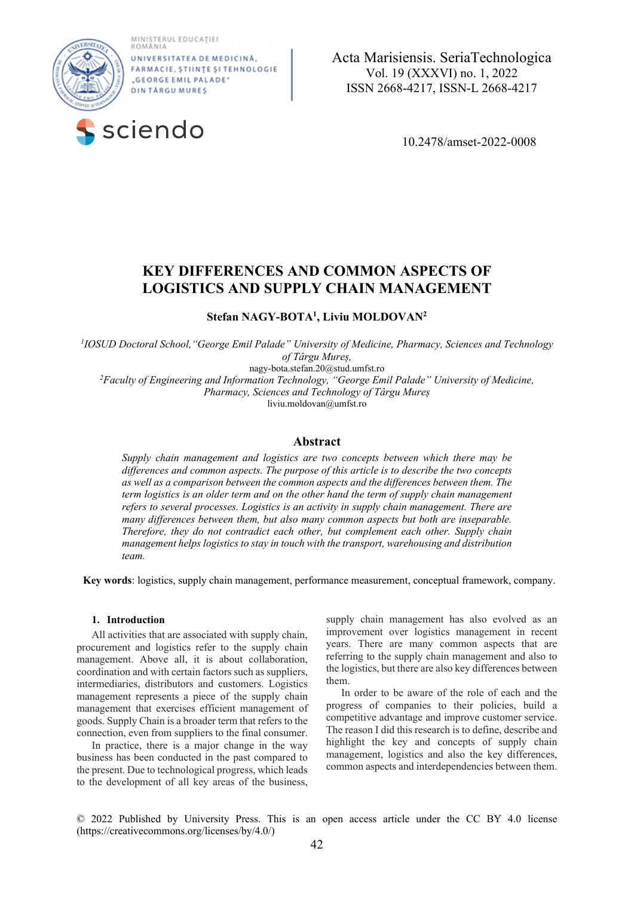MINISTERUL EDUCAȚIEI<br>ROMÂNIA



UNIVERSITATE A DE MEDICINĂ FARMACIE, ȘTIINȚE ȘI TEHNOLOGIE "GEORGE EMIL PALADE" **DINTÅRGUMURES** 



 **a**  Acta Marisiensis. SeriaTechnologica Vol. 19 (XXXVI) no. 1, 2022 ISSN 2668-4217, ISSN-L 2668-4217

# **KEY DIFFERENCES AND COMMON ASPECTS OF LOGISTICS AND SUPPLY CHAIN MANAGEMENT**

**Stefan NAGY-BOTA1 , Liviu MOLDOVAN2** 

*1 IOSUD Doctoral School,"George Emil Palade" University of Medicine, Pharmacy, Sciences and Technology of Târgu Mureș,* 

nagy-bota.stefan.20@stud.umfst.ro

*2 Faculty of Engineering and Information Technology, "George Emil Palade" University of Medicine, Pharmacy, Sciences and Technology of Târgu Mureș*

liviu.moldovan@umfst.ro

# **Abstract**

*Supply chain management and logistics are two concepts between which there may be differences and common aspects. The purpose of this article is to describe the two concepts as well as a comparison between the common aspects and the differences between them. The term logistics is an older term and on the other hand the term of supply chain management refers to several processes. Logistics is an activity in supply chain management. There are many differences between them, but also many common aspects but both are inseparable. Therefore, they do not contradict each other, but complement each other. Supply chain management helps logistics to stay in touch with the transport, warehousing and distribution team.* 

**Key words**: logistics, supply chain management, performance measurement, conceptual framework, company.

#### **1. Introduction**

All activities that are associated with supply chain, procurement and logistics refer to the supply chain management. Above all, it is about collaboration, coordination and with certain factors such as suppliers, intermediaries, distributors and customers. Logistics management represents a piece of the supply chain management that exercises efficient management of goods. Supply Chain is a broader term that refers to the connection, even from suppliers to the final consumer.

In practice, there is a major change in the way business has been conducted in the past compared to the present. Due to technological progress, which leads to the development of all key areas of the business,

supply chain management has also evolved as an improvement over logistics management in recent years. There are many common aspects that are referring to the supply chain management and also to the logistics, but there are also key differences between them.

In order to be aware of the role of each and the progress of companies to their policies, build a competitive advantage and improve customer service. The reason I did this research is to define, describe and highlight the key and concepts of supply chain management, logistics and also the key differences, common aspects and interdependencies between them.

© 2022 Published by University Press. This is an open access article under the CC BY 4.0 license (https://creativecommons.org/licenses/by/4.0/)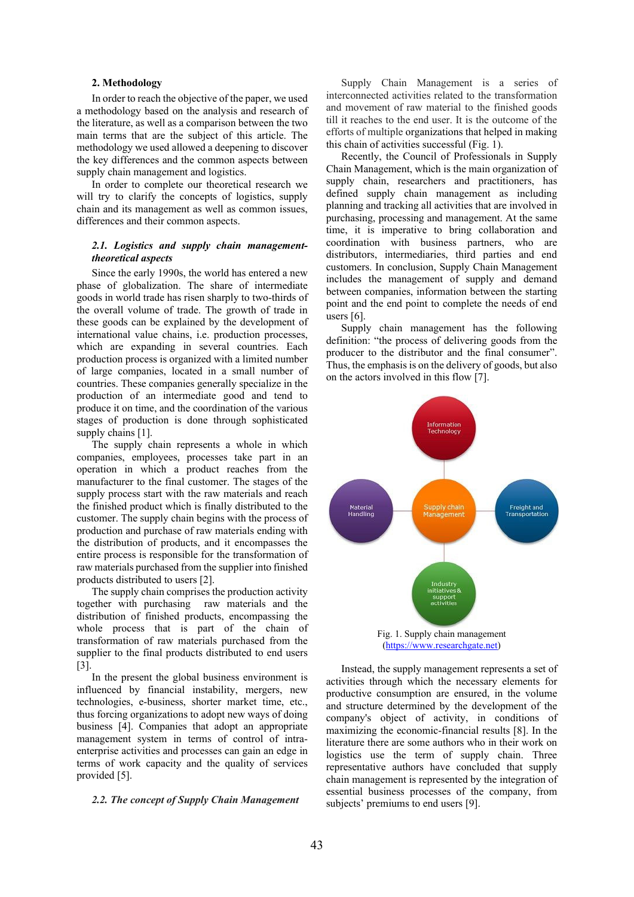## **2. Methodology**

In order to reach the objective of the paper, we used a methodology based on the analysis and research of the literature, as well as a comparison between the two main terms that are the subject of this article. The methodology we used allowed a deepening to discover the key differences and the common aspects between supply chain management and logistics.

In order to complete our theoretical research we will try to clarify the concepts of logistics, supply chain and its management as well as common issues, differences and their common aspects.

## *2.1. Logistics and supply chain managementtheoretical aspects*

Since the early 1990s, the world has entered a new phase of globalization. The share of intermediate goods in world trade has risen sharply to two-thirds of the overall volume of trade. The growth of trade in these goods can be explained by the development of international value chains, i.e. production processes, which are expanding in several countries. Each production process is organized with a limited number of large companies, located in a small number of countries. These companies generally specialize in the production of an intermediate good and tend to produce it on time, and the coordination of the various stages of production is done through sophisticated supply chains [1]. The supply chain represents a whole in which

companies, employees, processes take part in an operation in which a product reaches from the manufacturer to the final customer. The stages of the supply process start with the raw materials and reach the finished product which is finally distributed to the customer. The supply chain begins with the process of production and purchase of raw materials ending with the distribution of products, and it encompasses the entire process is responsible for the transformation of raw materials purchased from the supplier into finished products distributed to users [2]. The supply chain comprises the production activity

together with purchasing raw materials and the distribution of finished products, encompassing the whole process that is part of the chain of transformation of raw materials purchased from the supplier to the final products distributed to end users [3].

In the present the global business environment is influenced by financial instability, mergers, new technologies, e-business, shorter market time, etc., thus forcing organizations to adopt new ways of doing business [4]. Companies that adopt an appropriate management system in terms of control of intraenterprise activities and processes can gain an edge in terms of work capacity and the quality of services provided [5].

#### *2.2. The concept of Supply Chain Management*

Supply Chain Management is a series of interconnected activities related to the transformation and movement of raw material to the finished goods till it reaches to the end user. It is the outcome of the efforts of multiple organizations that helped in making this chain of activities successful (Fig. 1).

Recently, the Council of Professionals in Supply Chain Management, which is the main organization of supply chain, researchers and practitioners, has defined supply chain management as including planning and tracking all activities that are involved in purchasing, processing and management. At the same time, it is imperative to bring collaboration and coordination with business partners, who are distributors, intermediaries, third parties and end customers. In conclusion, Supply Chain Management includes the management of supply and demand between companies, information between the starting point and the end point to complete the needs of end

users [6]. Supply chain management has the following definition: "the process of delivering goods from the producer to the distributor and the final consumer". Thus, the emphasis is on the delivery of goods, but also on the actors involved in this flow [7].



(https://www.researchgate.net)

Instead, the supply management represents a set of activities through which the necessary elements for productive consumption are ensured, in the volume and structure determined by the development of the company's object of activity, in conditions of maximizing the economic-financial results [8]. In the literature there are some authors who in their work on logistics use the term of supply chain. Three representative authors have concluded that supply chain management is represented by the integration of essential business processes of the company, from subjects' premiums to end users [9].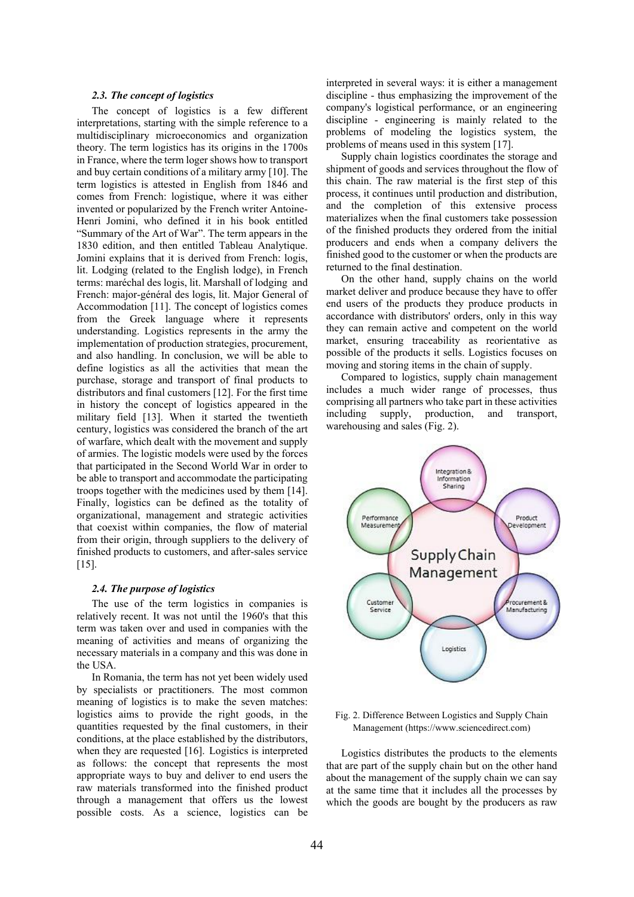#### *2.3. The concept of logistics*

The concept of logistics is a few different interpretations, starting with the simple reference to a multidisciplinary microeconomics and organization theory. The term logistics has its origins in the 1700s in France, where the term loger shows how to transport and buy certain conditions of a military army [10]. The term logistics is attested in English from 1846 and comes from French: logistique, where it was either invented or popularized by the French writer Antoine-Henri Jomini, who defined it in his book entitled "Summary of the Art of War". The term appears in the 1830 edition, and then entitled Tableau Analytique. Jomini explains that it is derived from French: logis, lit. Lodging (related to the English lodge), in French terms: maréchal des logis, lit. Marshall of lodging and French: major-général des logis, lit. Major General of Accommodation [11]. The concept of logistics comes from the Greek language where it represents understanding. Logistics represents in the army the implementation of production strategies, procurement, and also handling. In conclusion, we will be able to define logistics as all the activities that mean the purchase, storage and transport of final products to distributors and final customers [12]. For the first time in history the concept of logistics appeared in the military field [13]. When it started the twentieth century, logistics was considered the branch of the art of warfare, which dealt with the movement and supply of armies. The logistic models were used by the forces that participated in the Second World War in order to be able to transport and accommodate the participating troops together with the medicines used by them [14]. Finally, logistics can be defined as the totality of organizational, management and strategic activities that coexist within companies, the flow of material from their origin, through suppliers to the delivery of finished products to customers, and after-sales service [15].

#### *2.4. The purpose of logistics*

The use of the term logistics in companies is relatively recent. It was not until the 1960's that this term was taken over and used in companies with the meaning of activities and means of organizing the necessary materials in a company and this was done in the USA.

In Romania, the term has not yet been widely used by specialists or practitioners. The most common meaning of logistics is to make the seven matches: logistics aims to provide the right goods, in the quantities requested by the final customers, in their conditions, at the place established by the distributors, when they are requested [16]. Logistics is interpreted as follows: the concept that represents the most appropriate ways to buy and deliver to end users the raw materials transformed into the finished product through a management that offers us the lowest possible costs. As a science, logistics can be

interpreted in several ways: it is either a management discipline - thus emphasizing the improvement of the company's logistical performance, or an engineering discipline - engineering is mainly related to the problems of modeling the logistics system, the problems of means used in this system [17].

Supply chain logistics coordinates the storage and shipment of goods and services throughout the flow of this chain. The raw material is the first step of this process, it continues until production and distribution, and the completion of this extensive process materializes when the final customers take possession of the finished products they ordered from the initial producers and ends when a company delivers the finished good to the customer or when the products are returned to the final destination.

On the other hand, supply chains on the world market deliver and produce because they have to offer end users of the products they produce products in accordance with distributors' orders, only in this way they can remain active and competent on the world market, ensuring traceability as reorientative as possible of the products it sells. Logistics focuses on moving and storing items in the chain of supply.

Compared to logistics, supply chain management includes a much wider range of processes, thus comprising all partners who take part in these activities including supply, production, and transport, warehousing and sales (Fig. 2).

![](_page_2_Figure_9.jpeg)

# Fig. 2. Difference Between Logistics and Supply Chain Management (https://www.sciencedirect.com)

Logistics distributes the products to the elements that are part of the supply chain but on the other hand about the management of the supply chain we can say at the same time that it includes all the processes by which the goods are bought by the producers as raw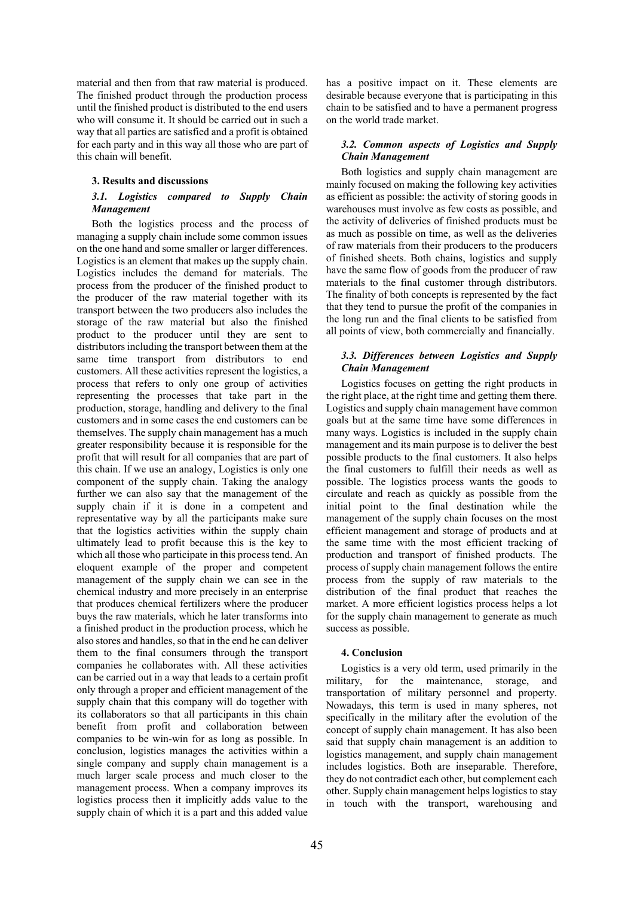material and then from that raw material is produced. The finished product through the production process until the finished product is distributed to the end users who will consume it. It should be carried out in such a way that all parties are satisfied and a profit is obtained for each party and in this way all those who are part of this chain will benefit.

## **3. Results and discussions**

# *3.1. Logistics compared to Supply Chain Management*

Both the logistics process and the process of managing a supply chain include some common issues on the one hand and some smaller or larger differences. Logistics is an element that makes up the supply chain. Logistics includes the demand for materials. The process from the producer of the finished product to the producer of the raw material together with its transport between the two producers also includes the storage of the raw material but also the finished product to the producer until they are sent to distributors including the transport between them at the same time transport from distributors to end customers. All these activities represent the logistics, a process that refers to only one group of activities representing the processes that take part in the production, storage, handling and delivery to the final customers and in some cases the end customers can be themselves. The supply chain management has a much greater responsibility because it is responsible for the profit that will result for all companies that are part of this chain. If we use an analogy, Logistics is only one component of the supply chain. Taking the analogy further we can also say that the management of the supply chain if it is done in a competent and representative way by all the participants make sure that the logistics activities within the supply chain ultimately lead to profit because this is the key to which all those who participate in this process tend. An eloquent example of the proper and competent management of the supply chain we can see in the chemical industry and more precisely in an enterprise that produces chemical fertilizers where the producer buys the raw materials, which he later transforms into a finished product in the production process, which he also stores and handles, so that in the end he can deliver them to the final consumers through the transport companies he collaborates with. All these activities can be carried out in a way that leads to a certain profit only through a proper and efficient management of the supply chain that this company will do together with its collaborators so that all participants in this chain benefit from profit and collaboration between companies to be win-win for as long as possible. In conclusion, logistics manages the activities within a single company and supply chain management is a much larger scale process and much closer to the management process. When a company improves its logistics process then it implicitly adds value to the supply chain of which it is a part and this added value

has a positive impact on it. These elements are desirable because everyone that is participating in this chain to be satisfied and to have a permanent progress on the world trade market.

# *3.2. Common aspects of Logistics and Supply Chain Management*

Both logistics and supply chain management are mainly focused on making the following key activities as efficient as possible: the activity of storing goods in warehouses must involve as few costs as possible, and the activity of deliveries of finished products must be as much as possible on time, as well as the deliveries of raw materials from their producers to the producers of finished sheets. Both chains, logistics and supply have the same flow of goods from the producer of raw materials to the final customer through distributors. The finality of both concepts is represented by the fact that they tend to pursue the profit of the companies in the long run and the final clients to be satisfied from all points of view, both commercially and financially.

# *3.3. Differences between Logistics and Supply Chain Management*

Logistics focuses on getting the right products in the right place, at the right time and getting them there. Logistics and supply chain management have common goals but at the same time have some differences in many ways. Logistics is included in the supply chain management and its main purpose is to deliver the best possible products to the final customers. It also helps the final customers to fulfill their needs as well as possible. The logistics process wants the goods to circulate and reach as quickly as possible from the initial point to the final destination while the management of the supply chain focuses on the most efficient management and storage of products and at the same time with the most efficient tracking of production and transport of finished products. The process of supply chain management follows the entire process from the supply of raw materials to the distribution of the final product that reaches the market. A more efficient logistics process helps a lot for the supply chain management to generate as much success as possible.

## **4. Conclusion**

Logistics is a very old term, used primarily in the military, for the maintenance, storage, and transportation of military personnel and property. Nowadays, this term is used in many spheres, not specifically in the military after the evolution of the concept of supply chain management. It has also been said that supply chain management is an addition to logistics management, and supply chain management includes logistics. Both are inseparable. Therefore, they do not contradict each other, but complement each other. Supply chain management helps logistics to stay in touch with the transport, warehousing and